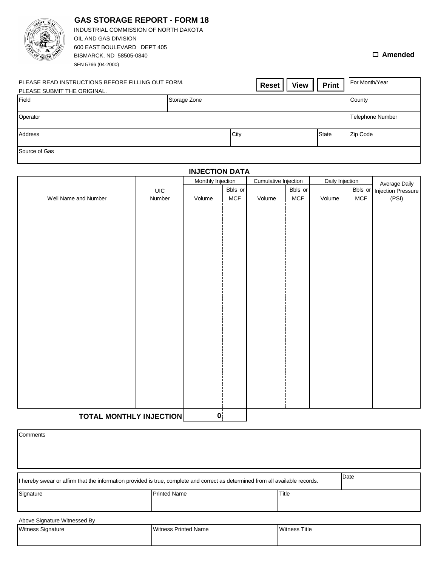| <b>WORTH</b>                                                                                                                    | <b>GAS STORAGE REPORT - FORM 18</b><br>INDUSTRIAL COMMISSION OF NORTH DAKOTA<br>OIL AND GAS DIVISION<br>600 EAST BOULEVARD DEPT 405<br>BISMARCK, ND 58505-0840<br>SFN 5766 (04-2000) |              |      |              | $\Box$ Amended          |
|---------------------------------------------------------------------------------------------------------------------------------|--------------------------------------------------------------------------------------------------------------------------------------------------------------------------------------|--------------|------|--------------|-------------------------|
| PLEASE READ INSTRUCTIONS BEFORE FILLING OUT FORM.<br><b>Print</b><br><b>View</b><br><b>Reset</b><br>PLEASE SUBMIT THE ORIGINAL. |                                                                                                                                                                                      |              |      |              | For Month/Year          |
| Field                                                                                                                           |                                                                                                                                                                                      | Storage Zone |      |              | County                  |
| Operator                                                                                                                        |                                                                                                                                                                                      |              |      |              | <b>Telephone Number</b> |
| Address                                                                                                                         |                                                                                                                                                                                      |              | City | <b>State</b> | Zip Code                |
| Source of Gas                                                                                                                   |                                                                                                                                                                                      |              |      |              |                         |

**GAS STORAGE REPORT - FORM 18**

| <b>INJECTION DATA</b>          |        |                   |         |                      |         |                 |     |                            |
|--------------------------------|--------|-------------------|---------|----------------------|---------|-----------------|-----|----------------------------|
|                                |        | Monthly Injection |         | Cumulative Injection |         | Daily Injection |     | Average Daily              |
|                                | UIC    |                   | Bbls or |                      | Bbls or |                 |     | Bbls or Injection Pressure |
| Well Name and Number           | Number | Volume            | MCF     | Volume               | MCF     | Volume          | MCF | (PSI)                      |
|                                |        |                   |         |                      |         |                 |     |                            |
|                                |        |                   |         |                      |         |                 |     |                            |
|                                |        |                   |         |                      |         |                 |     |                            |
|                                |        |                   |         |                      |         |                 |     |                            |
|                                |        |                   |         |                      |         |                 |     |                            |
|                                |        |                   |         |                      |         |                 |     |                            |
|                                |        |                   |         |                      |         |                 |     |                            |
|                                |        |                   |         |                      |         |                 |     |                            |
|                                |        |                   |         |                      |         |                 |     |                            |
|                                |        |                   |         |                      |         |                 |     |                            |
|                                |        |                   |         |                      |         |                 |     |                            |
|                                |        |                   |         |                      |         |                 |     |                            |
|                                |        |                   |         |                      |         |                 |     |                            |
|                                |        |                   |         |                      |         |                 |     |                            |
|                                |        |                   |         |                      |         |                 |     |                            |
|                                |        |                   |         |                      |         |                 |     |                            |
|                                |        |                   |         |                      |         |                 |     |                            |
|                                |        |                   |         |                      |         |                 |     |                            |
|                                |        |                   |         |                      |         |                 |     |                            |
|                                |        |                   |         |                      |         |                 |     |                            |
|                                |        |                   |         |                      |         |                 |     |                            |
|                                |        |                   |         |                      |         |                 |     |                            |
|                                |        |                   |         |                      |         |                 |     |                            |
|                                |        |                   |         |                      |         |                 |     |                            |
|                                |        |                   |         |                      |         |                 |     |                            |
| <b>TOTAL MONTHLY INJECTION</b> |        | 0 <sub>1</sub>    |         |                      |         |                 |     |                            |

| Comments                                                                                                                               |                     |       |  |  |  |  |
|----------------------------------------------------------------------------------------------------------------------------------------|---------------------|-------|--|--|--|--|
|                                                                                                                                        |                     |       |  |  |  |  |
|                                                                                                                                        |                     |       |  |  |  |  |
| Date<br>I hereby swear or affirm that the information provided is true, complete and correct as determined from all available records. |                     |       |  |  |  |  |
| Signature                                                                                                                              | <b>Printed Name</b> | Title |  |  |  |  |
| Above Signature Witnessed By                                                                                                           |                     |       |  |  |  |  |

| <b>Witness Signature</b> | <b>Witness Printed Name</b> | <b>Witness Title</b> |  |  |
|--------------------------|-----------------------------|----------------------|--|--|
|                          |                             |                      |  |  |